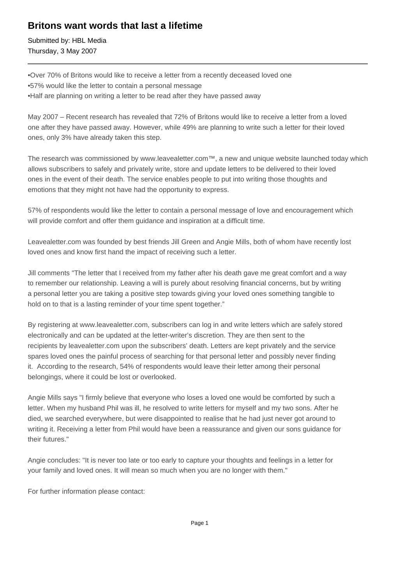## **Britons want words that last a lifetime**

Submitted by: HBL Media Thursday, 3 May 2007

- • Over 70% of Britons would like to receive a letter from a recently deceased loved one
- 57% would like the letter to contain a personal message
- Half are planning on writing a letter to be read after they have passed away

May 2007 – Recent research has revealed that 72% of Britons would like to receive a letter from a loved one after they have passed away. However, while 49% are planning to write such a letter for their loved ones, only 3% have already taken this step.

The research was commissioned by www.leavealetter.com™, a new and unique website launched today which allows subscribers to safely and privately write, store and update letters to be delivered to their loved ones in the event of their death. The service enables people to put into writing those thoughts and emotions that they might not have had the opportunity to express.

57% of respondents would like the letter to contain a personal message of love and encouragement which will provide comfort and offer them guidance and inspiration at a difficult time.

Leavealetter.com was founded by best friends Jill Green and Angie Mills, both of whom have recently lost loved ones and know first hand the impact of receiving such a letter.

Jill comments "The letter that I received from my father after his death gave me great comfort and a way to remember our relationship. Leaving a will is purely about resolving financial concerns, but by writing a personal letter you are taking a positive step towards giving your loved ones something tangible to hold on to that is a lasting reminder of your time spent together."

By registering at www.leavealetter.com, subscribers can log in and write letters which are safely stored electronically and can be updated at the letter-writer's discretion. They are then sent to the recipients by leavealetter.com upon the subscribers' death. Letters are kept privately and the service spares loved ones the painful process of searching for that personal letter and possibly never finding it. According to the research, 54% of respondents would leave their letter among their personal belongings, where it could be lost or overlooked.

Angie Mills says "I firmly believe that everyone who loses a loved one would be comforted by such a letter. When my husband Phil was ill, he resolved to write letters for myself and my two sons. After he died, we searched everywhere, but were disappointed to realise that he had just never got around to writing it. Receiving a letter from Phil would have been a reassurance and given our sons guidance for their futures."

Angie concludes: "It is never too late or too early to capture your thoughts and feelings in a letter for your family and loved ones. It will mean so much when you are no longer with them."

For further information please contact: